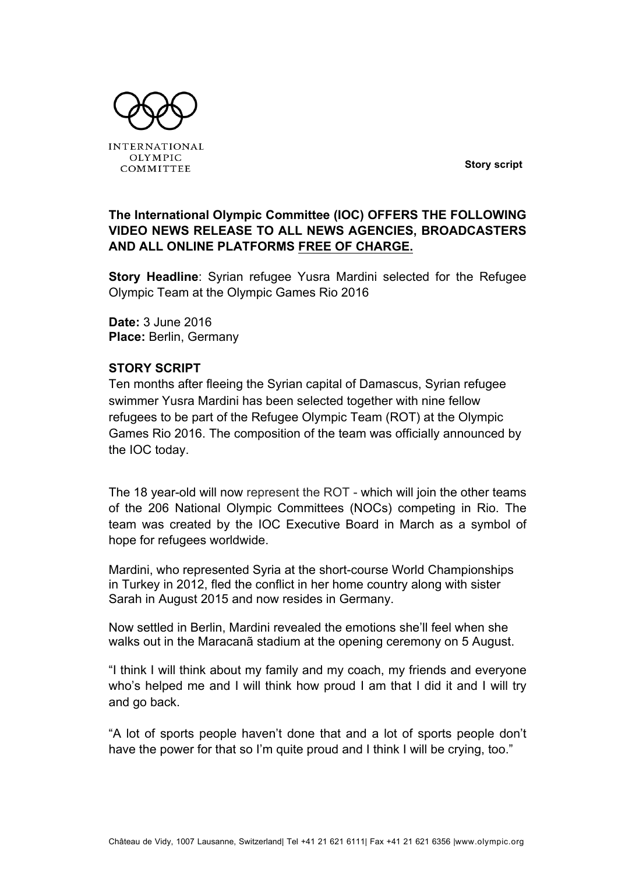**Story script**



**INTERNATIONAL OLYMPIC** COMMITTEE

## **The International Olympic Committee (IOC) OFFERS THE FOLLOWING VIDEO NEWS RELEASE TO ALL NEWS AGENCIES, BROADCASTERS AND ALL ONLINE PLATFORMS FREE OF CHARGE.**

**Story Headline**: Syrian refugee Yusra Mardini selected for the Refugee Olympic Team at the Olympic Games Rio 2016

**Date:** 3 June 2016 **Place:** Berlin, Germany

## **STORY SCRIPT**

Ten months after fleeing the Syrian capital of Damascus, Syrian refugee swimmer Yusra Mardini has been selected together with nine fellow refugees to be part of the Refugee Olympic Team (ROT) at the Olympic Games Rio 2016. The composition of the team was officially announced by the IOC today.

The 18 year-old will now represent the ROT - which will join the other teams of the 206 National Olympic Committees (NOCs) competing in Rio. The team was created by the IOC Executive Board in March as a symbol of hope for refugees worldwide.

Mardini, who represented Syria at the short-course World Championships in Turkey in 2012, fled the conflict in her home country along with sister Sarah in August 2015 and now resides in Germany.

Now settled in Berlin, Mardini revealed the emotions she'll feel when she walks out in the Maracanã stadium at the opening ceremony on 5 August.

"I think I will think about my family and my coach, my friends and everyone who's helped me and I will think how proud I am that I did it and I will try and go back.

"A lot of sports people haven't done that and a lot of sports people don't have the power for that so I'm quite proud and I think I will be crying, too."